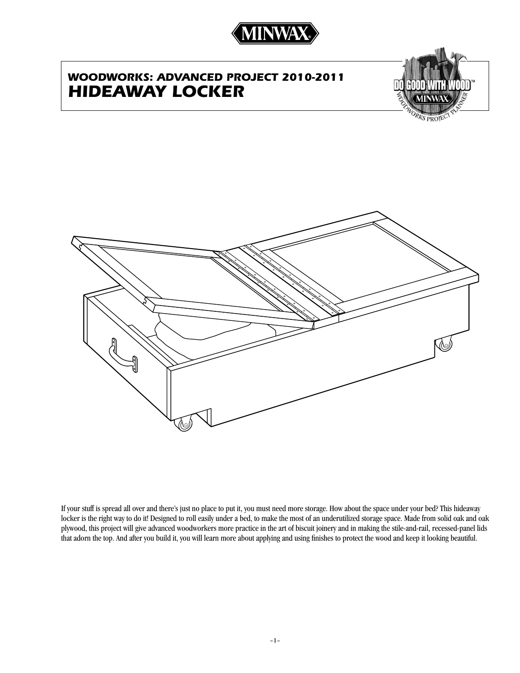

# *WOODWORKS: advanced project 2010-2011 hideaway locker*



(V

If your stuff is spread all over and there's just no place to put it, you must need more storage. How about the space under your bed? This hideaway locker is the right way to do it! Designed to roll easily under a bed, to make the most of an underutilized storage space. Made from solid oak and oak plywood, this project will give advanced woodworkers more practice in the art of biscuit joinery and in making the stile-and-rail, recessed-panel lids that adorn the top. And after you build it, you will learn more about applying and using finishes to protect the wood and keep it looking beautiful.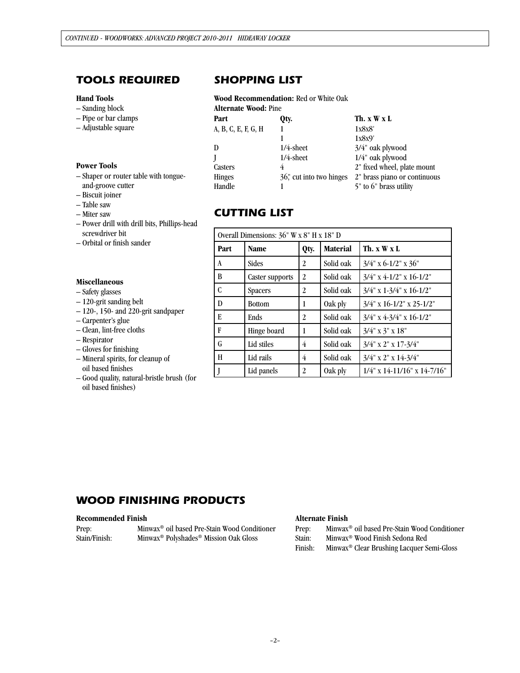# *tools required*

### **Hand Tools**

- Sanding block
- Pipe or bar clamps
- Adjustable square

#### **Power Tools**

- Shaper or router table with tongueand-groove cutter
- Biscuit joiner
- Table saw
- Miter saw
- Power drill with drill bits, Phillips-head screwdriver bit
- Orbital or finish sander

### **Miscellaneous**

- Safety glasses
- 120-grit sanding belt
- 120-, 150- and 220-grit sandpaper
- Carpenter's glue
- Clean, lint-free cloths
- Respirator
- Gloves for finishing
- Mineral spirits, for cleanup of oil based finishes
- Good quality, natural-bristle brush (for

### oil based finishes)

# *SHOPPING LIST*

### **Wood Recommendation:** Red or White Oak **Alternate Wood:** Pine

| Part                | Qty.                     | Th. x W x L                  |
|---------------------|--------------------------|------------------------------|
| A, B, C, E, F, G, H |                          | 1x8x8'                       |
|                     |                          | 1x8x9'                       |
| D                   | $1/4$ -sheet             | 3/4" oak plywood             |
|                     | $1/4$ -sheet             | 1/4" oak plywood             |
| Casters             |                          | 2" fixed wheel, plate mount  |
| <b>Hinges</b>       | 36," cut into two hinges | 2" brass piano or continuous |
| Handle              |                          | 5" to 6" brass utility       |
|                     |                          |                              |

## *cutting list*

| Overall Dimensions: 36" W x 8" H x 18" D |                 |      |                 |                                |
|------------------------------------------|-----------------|------|-----------------|--------------------------------|
| Part                                     | Name            | Qty. | <b>Material</b> | Th. $x \mathbf{W} x L$         |
| A                                        | Sides           | 2    | Solid oak       | $3/4$ " x 6-1/2" x 36"         |
| B                                        | Caster supports | 2    | Solid oak       | $3/4$ " x 4-1/2" x 16-1/2"     |
| C                                        | <b>Spacers</b>  | 2    | Solid oak       | $3/4$ " x 1-3/4" x 16-1/2"     |
| D                                        | <b>Bottom</b>   | 1    | Oak ply         | $3/4$ " x 16-1/2" x 25-1/2"    |
| E                                        | Ends            | 2    | Solid oak       | $3/4$ " x 4-3/4" x 16-1/2"     |
| F                                        | Hinge board     | 1    | Solid oak       | $3/4$ " x 3" x 18"             |
| G                                        | Lid stiles      | 4    | Solid oak       | $3/4$ " x 2" x 17-3/4"         |
| H                                        | Lid rails       | 4    | Solid oak       | $3/4$ " x 2" x 14-3/4"         |
|                                          | Lid panels      | 2    | Oak ply         | $1/4$ " x 14-11/16" x 14-7/16" |

# *WOOD FINISHING PRODUCTS*

### **Recommended Finish**

| Prep:         | Minwax <sup>®</sup> oil based Pre-Stain Wood Conditioner      |
|---------------|---------------------------------------------------------------|
| Stain/Finish: | Minwax <sup>®</sup> Polyshades <sup>®</sup> Mission Oak Gloss |

### **Alternate Finish**

Prep: Minwax® oil based Pre-Stain Wood Conditioner

- Stain: Minwax® Wood Finish Sedona Red
- Finish: Minwax® Clear Brushing Lacquer Semi-Gloss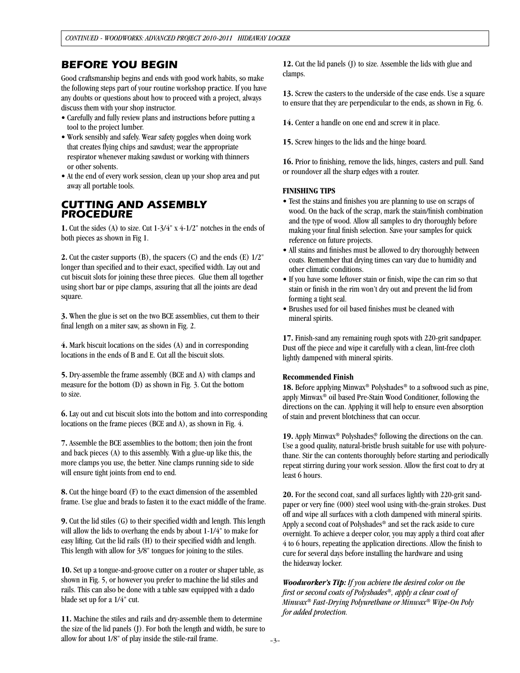### *Before you begin*

Good craftsmanship begins and ends with good work habits, so make the following steps part of your routine workshop practice. If you have any doubts or questions about how to proceed with a project, always discuss them with your shop instructor.

- Carefully and fully review plans and instructions before putting a tool to the project lumber.
- Work sensibly and safely. Wear safety goggles when doing work that creates flying chips and sawdust; wear the appropriate respirator whenever making sawdust or working with thinners or other solvents.
- At the end of every work session, clean up your shop area and put away all portable tools.

### *CUTTING AND ASSEMBLY PROCEDURE*

**1.** Cut the sides (A) to size. Cut 1-3/4" x 4-1/2" notches in the ends of both pieces as shown in Fig 1.

**2.** Cut the caster supports (B), the spacers (C) and the ends (E) 1/2" longer than specified and to their exact, specified width. Lay out and cut biscuit slots for joining these three pieces. Glue them all together using short bar or pipe clamps, assuring that all the joints are dead square.

**3.** When the glue is set on the two BCE assemblies, cut them to their final length on a miter saw, as shown in Fig. 2.

**4.** Mark biscuit locations on the sides (A) and in corresponding locations in the ends of B and E. Cut all the biscuit slots.

**5.** Dry-assemble the frame assembly (BCE and A) with clamps and measure for the bottom (D) as shown in Fig. 3. Cut the bottom to size.

**6.** Lay out and cut biscuit slots into the bottom and into corresponding locations on the frame pieces (BCE and A), as shown in Fig. 4.

**7.** Assemble the BCE assemblies to the bottom; then join the front and back pieces (A) to this assembly. With a glue-up like this, the more clamps you use, the better. Nine clamps running side to side will ensure tight joints from end to end.

**8.** Cut the hinge board (F) to the exact dimension of the assembled frame. Use glue and brads to fasten it to the exact middle of the frame.

**9.** Cut the lid stiles (G) to their specified width and length. This length will allow the lids to overhang the ends by about 1-1/4" to make for easy lifting. Cut the lid rails (H) to their specified width and length. This length with allow for 3/8" tongues for joining to the stiles.

**10.** Set up a tongue-and-groove cutter on a router or shaper table, as shown in Fig. 5, or however you prefer to machine the lid stiles and rails. This can also be done with a table saw equipped with a dado blade set up for a 1/4" cut.

**11.** Machine the stiles and rails and dry-assemble them to determine the size of the lid panels (J). For both the length and width, be sure to allow for about 1/8" of play inside the stile-rail frame.

**12.** Cut the lid panels (J) to size. Assemble the lids with glue and clamps.

**13.** Screw the casters to the underside of the case ends. Use a square to ensure that they are perpendicular to the ends, as shown in Fig. 6.

**14.** Center a handle on one end and screw it in place.

**15.** Screw hinges to the lids and the hinge board.

**16.** Prior to finishing, remove the lids, hinges, casters and pull. Sand or roundover all the sharp edges with a router.

### **FINISHING TIPS**

- Test the stains and finishes you are planning to use on scraps of wood. On the back of the scrap, mark the stain/finish combination and the type of wood. Allow all samples to dry thoroughly before making your final finish selection. Save your samples for quick reference on future projects.
- All stains and finishes must be allowed to dry thoroughly between coats. Remember that drying times can vary due to humidity and other climatic conditions.
- If you have some leftover stain or finish, wipe the can rim so that stain or finish in the rim won't dry out and prevent the lid from forming a tight seal.
- Brushes used for oil based finishes must be cleaned with mineral spirits.

**17.** Finish-sand any remaining rough spots with 220-grit sandpaper. Dust off the piece and wipe it carefully with a clean, lint-free cloth lightly dampened with mineral spirits.

#### **Recommended Finish**

18. Before applying Minwax® Polyshades® to a softwood such as pine, apply Minwax® oil based Pre-Stain Wood Conditioner, following the directions on the can. Applying it will help to ensure even absorption of stain and prevent blotchiness that can occur.

19. Apply Minwax<sup>®</sup> Polyshades,<sup>®</sup> following the directions on the can. Use a good quality, natural-bristle brush suitable for use with polyurethane. Stir the can contents thoroughly before starting and periodically repeat stirring during your work session. Allow the first coat to dry at least 6 hours.

**20.** For the second coat, sand all surfaces lightly with 220-grit sandpaper or very fine (000) steel wool using with-the-grain strokes. Dust off and wipe all surfaces with a cloth dampened with mineral spirits. Apply a second coat of Polyshades® and set the rack aside to cure overnight. To achieve a deeper color, you may apply a third coat after 4 to 6 hours, repeating the application directions. Allow the finish to cure for several days before installing the hardware and using the hideaway locker.

*Woodworker's Tip: If you achieve the desired color on the first or second coats of Polyshades®, apply a clear coat of Minwax® Fast-Drying Polyurethane or Minwax® Wipe-On Poly for added protection.*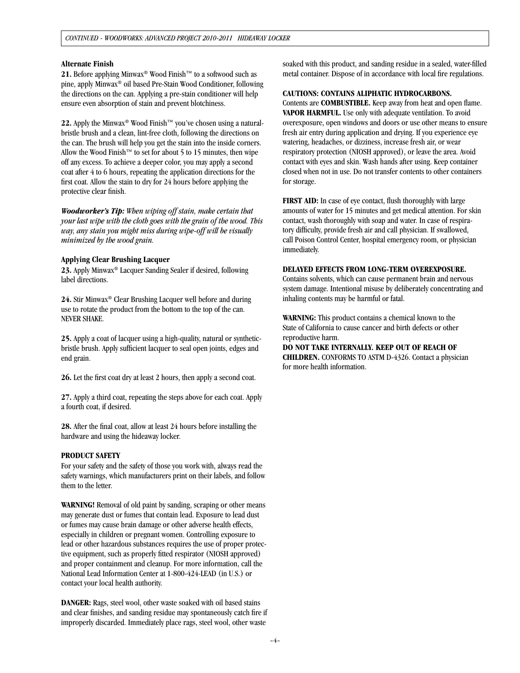#### **Alternate Finish**

**21.** Before applying Minwax® Wood Finish™ to a softwood such as pine, apply Minwax® oil based Pre-Stain Wood Conditioner, following the directions on the can. Applying a pre-stain conditioner will help ensure even absorption of stain and prevent blotchiness.

22. Apply the Minwax<sup>®</sup> Wood Finish<sup>™</sup> you've chosen using a naturalbristle brush and a clean, lint-free cloth, following the directions on the can. The brush will help you get the stain into the inside corners. Allow the Wood Finish™ to set for about 5 to 15 minutes, then wipe off any excess. To achieve a deeper color, you may apply a second coat after 4 to 6 hours, repeating the application directions for the first coat. Allow the stain to dry for 24 hours before applying the protective clear finish.

*Woodworker's Tip: When wiping off stain, make certain that your last wipe with the cloth goes with the grain of the wood. This way, any stain you might miss during wipe-off will be visually minimized by the wood grain.*

### **Applying Clear Brushing Lacquer**

**23.** Apply Minwax® Lacquer Sanding Sealer if desired, following label directions.

**24.** Stir Minwax® Clear Brushing Lacquer well before and during use to rotate the product from the bottom to the top of the can. NEVER SHAKE.

**25.** Apply a coat of lacquer using a high-quality, natural or syntheticbristle brush. Apply sufficient lacquer to seal open joints, edges and end grain.

**26.** Let the first coat dry at least 2 hours, then apply a second coat.

**27.** Apply a third coat, repeating the steps above for each coat. Apply a fourth coat, if desired.

**28.** After the final coat, allow at least 24 hours before installing the hardware and using the hideaway locker.

### **PRODUCT SAFETY**

For your safety and the safety of those you work with, always read the safety warnings, which manufacturers print on their labels, and follow them to the letter.

**WARNING!** Removal of old paint by sanding, scraping or other means may generate dust or fumes that contain lead. Exposure to lead dust or fumes may cause brain damage or other adverse health effects, especially in children or pregnant women. Controlling exposure to lead or other hazardous substances requires the use of proper protective equipment, such as properly fitted respirator (NIOSH approved) and proper containment and cleanup. For more information, call the National Lead Information Center at 1-800-424-LEAD (in U.S.) or contact your local health authority.

**DANGER:** Rags, steel wool, other waste soaked with oil based stains and clear finishes, and sanding residue may spontaneously catch fire if improperly discarded. Immediately place rags, steel wool, other waste

soaked with this product, and sanding residue in a sealed, water-filled metal container. Dispose of in accordance with local fire regulations.

### **CAUTIONS: CONTAINS ALIPHATIC HYDROCARBONS.**

Contents are **COMBUSTIBLE.** Keep away from heat and open flame. **VAPOR HARMFUL.** Use only with adequate ventilation. To avoid overexposure, open windows and doors or use other means to ensure fresh air entry during application and drying. If you experience eye watering, headaches, or dizziness, increase fresh air, or wear respiratory protection (NIOSH approved), or leave the area. Avoid contact with eyes and skin. Wash hands after using. Keep container closed when not in use. Do not transfer contents to other containers for storage.

**FIRST AID:** In case of eye contact, flush thoroughly with large amounts of water for 15 minutes and get medical attention. For skin contact, wash thoroughly with soap and water. In case of respiratory difficulty, provide fresh air and call physician. If swallowed, call Poison Control Center, hospital emergency room, or physician immediately.

#### **DELAYED EFFECTS FROM LONG-TERM OVEREXPOSURE.**

Contains solvents, which can cause permanent brain and nervous system damage. Intentional misuse by deliberately concentrating and inhaling contents may be harmful or fatal.

**WARNING:** This product contains a chemical known to the State of California to cause cancer and birth defects or other reproductive harm.

**DO NOT TAKE INTERNALLY. KEEP OUT OF REACH OF CHILDREN.** Conforms to ASTM D-4326. Contact a physician for more health information.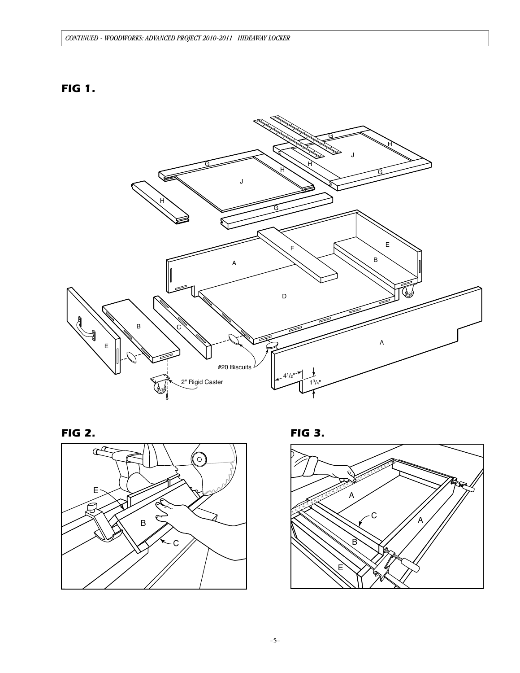# *FIG 1.*







*FIG 3.*